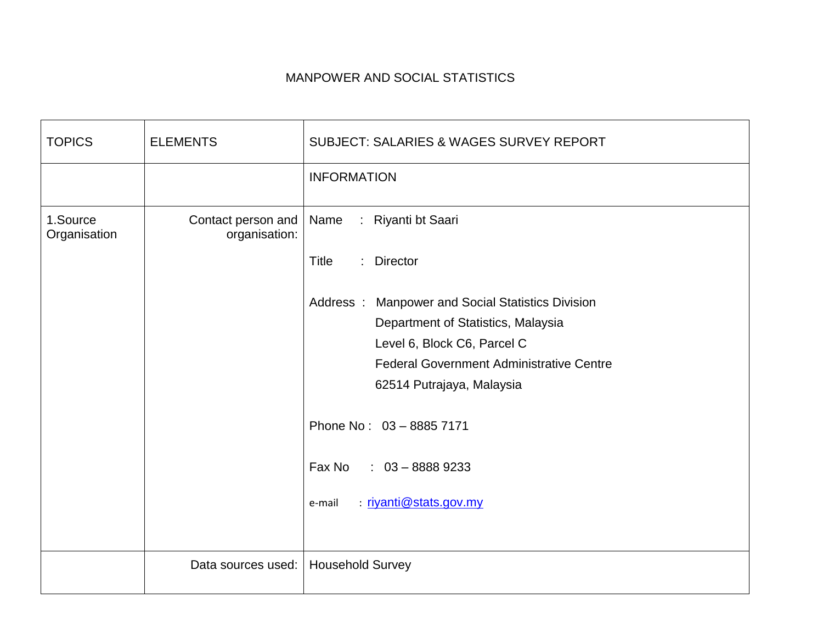## MANPOWER AND SOCIAL STATISTICS

| <b>TOPICS</b>            | <b>ELEMENTS</b>                     | <b>SUBJECT: SALARIES &amp; WAGES SURVEY REPORT</b> |
|--------------------------|-------------------------------------|----------------------------------------------------|
|                          |                                     | <b>INFORMATION</b>                                 |
| 1.Source<br>Organisation | Contact person and<br>organisation: | : Riyanti bt Saari<br>Name                         |
|                          |                                     | <b>Title</b><br>: Director                         |
|                          |                                     | Address: Manpower and Social Statistics Division   |
|                          |                                     | Department of Statistics, Malaysia                 |
|                          |                                     | Level 6, Block C6, Parcel C                        |
|                          |                                     | <b>Federal Government Administrative Centre</b>    |
|                          |                                     | 62514 Putrajaya, Malaysia                          |
|                          |                                     | Phone No: 03 - 8885 7171                           |
|                          |                                     | Fax No : 03 - 8888 9233                            |
|                          |                                     | <u>: riyanti@stats.gov.my</u><br>e-mail            |
|                          |                                     |                                                    |
|                          | Data sources used:                  | <b>Household Survey</b>                            |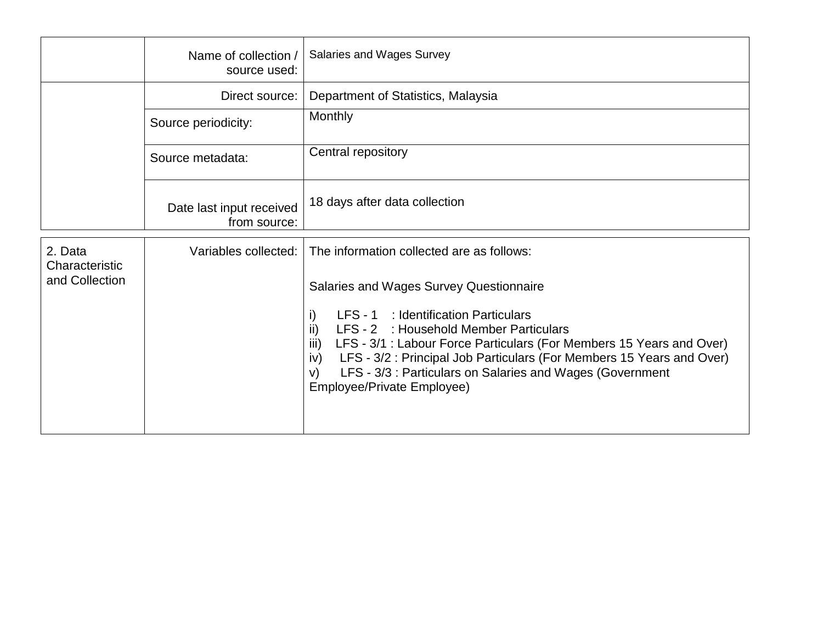|                                             | Name of collection /<br>source used:     | Salaries and Wages Survey                                                                                                                                                                                                                                                                                                                                                                                                                            |
|---------------------------------------------|------------------------------------------|------------------------------------------------------------------------------------------------------------------------------------------------------------------------------------------------------------------------------------------------------------------------------------------------------------------------------------------------------------------------------------------------------------------------------------------------------|
|                                             | Direct source:                           | Department of Statistics, Malaysia                                                                                                                                                                                                                                                                                                                                                                                                                   |
|                                             | Source periodicity:                      | Monthly                                                                                                                                                                                                                                                                                                                                                                                                                                              |
|                                             | Source metadata:                         | Central repository                                                                                                                                                                                                                                                                                                                                                                                                                                   |
|                                             | Date last input received<br>from source: | 18 days after data collection                                                                                                                                                                                                                                                                                                                                                                                                                        |
| 2. Data<br>Characteristic<br>and Collection | Variables collected: I                   | The information collected are as follows:<br>Salaries and Wages Survey Questionnaire<br>LFS - 1 : Identification Particulars<br>i)<br>ii)<br>LFS - 2 : Household Member Particulars<br>LFS - 3/1 : Labour Force Particulars (For Members 15 Years and Over)<br>iii)<br>LFS - 3/2 : Principal Job Particulars (For Members 15 Years and Over)<br>iv)<br>LFS - 3/3 : Particulars on Salaries and Wages (Government<br>V)<br>Employee/Private Employee) |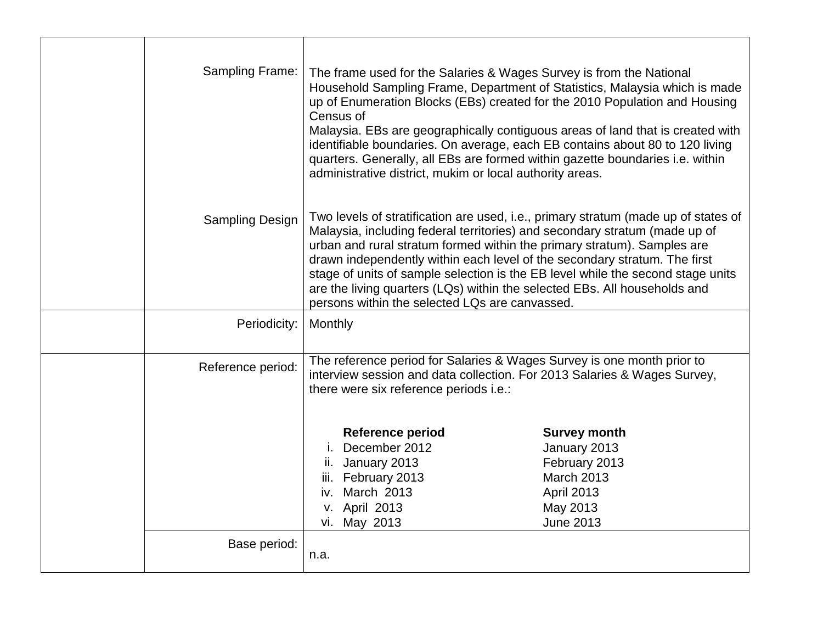| Sampling Frame:   | The frame used for the Salaries & Wages Survey is from the National<br>Household Sampling Frame, Department of Statistics, Malaysia which is made<br>up of Enumeration Blocks (EBs) created for the 2010 Population and Housing<br>Census of<br>Malaysia. EBs are geographically contiguous areas of land that is created with<br>identifiable boundaries. On average, each EB contains about 80 to 120 living<br>quarters. Generally, all EBs are formed within gazette boundaries i.e. within<br>administrative district, mukim or local authority areas. |                                                                                                                                                                                                                                                                                                                                                                                                                                                                                          |
|-------------------|-------------------------------------------------------------------------------------------------------------------------------------------------------------------------------------------------------------------------------------------------------------------------------------------------------------------------------------------------------------------------------------------------------------------------------------------------------------------------------------------------------------------------------------------------------------|------------------------------------------------------------------------------------------------------------------------------------------------------------------------------------------------------------------------------------------------------------------------------------------------------------------------------------------------------------------------------------------------------------------------------------------------------------------------------------------|
| Sampling Design   | persons within the selected LQs are canvassed.                                                                                                                                                                                                                                                                                                                                                                                                                                                                                                              | Two levels of stratification are used, i.e., primary stratum (made up of states of<br>Malaysia, including federal territories) and secondary stratum (made up of<br>urban and rural stratum formed within the primary stratum). Samples are<br>drawn independently within each level of the secondary stratum. The first<br>stage of units of sample selection is the EB level while the second stage units<br>are the living quarters (LQs) within the selected EBs. All households and |
| Periodicity:      | Monthly                                                                                                                                                                                                                                                                                                                                                                                                                                                                                                                                                     |                                                                                                                                                                                                                                                                                                                                                                                                                                                                                          |
| Reference period: | there were six reference periods i.e.:                                                                                                                                                                                                                                                                                                                                                                                                                                                                                                                      | The reference period for Salaries & Wages Survey is one month prior to<br>interview session and data collection. For 2013 Salaries & Wages Survey,                                                                                                                                                                                                                                                                                                                                       |
|                   | <b>Reference period</b><br>December 2012<br>ii. January 2013<br>February 2013<br>iii.<br>March 2013<br>iv.<br>v. April 2013<br>vi. May 2013                                                                                                                                                                                                                                                                                                                                                                                                                 | <b>Survey month</b><br>January 2013<br>February 2013<br><b>March 2013</b><br>April 2013<br>May 2013<br><b>June 2013</b>                                                                                                                                                                                                                                                                                                                                                                  |
| Base period:      | n.a.                                                                                                                                                                                                                                                                                                                                                                                                                                                                                                                                                        |                                                                                                                                                                                                                                                                                                                                                                                                                                                                                          |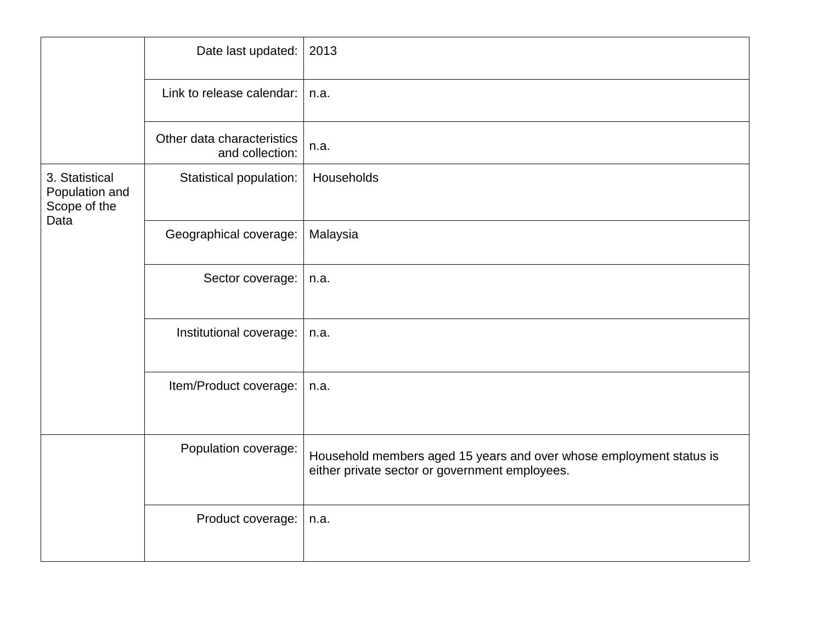|                                                          | Date last updated:                            | 2013                                                                                                                  |
|----------------------------------------------------------|-----------------------------------------------|-----------------------------------------------------------------------------------------------------------------------|
|                                                          | Link to release calendar:                     | n.a.                                                                                                                  |
|                                                          | Other data characteristics<br>and collection: | n.a.                                                                                                                  |
| 3. Statistical<br>Population and<br>Scope of the<br>Data | Statistical population:                       | Households                                                                                                            |
|                                                          | Geographical coverage:                        | Malaysia                                                                                                              |
|                                                          | Sector coverage:                              | n.a.                                                                                                                  |
|                                                          | Institutional coverage:                       | n.a.                                                                                                                  |
|                                                          | Item/Product coverage:                        | n.a.                                                                                                                  |
|                                                          | Population coverage:                          | Household members aged 15 years and over whose employment status is<br>either private sector or government employees. |
|                                                          | Product coverage:                             | n.a.                                                                                                                  |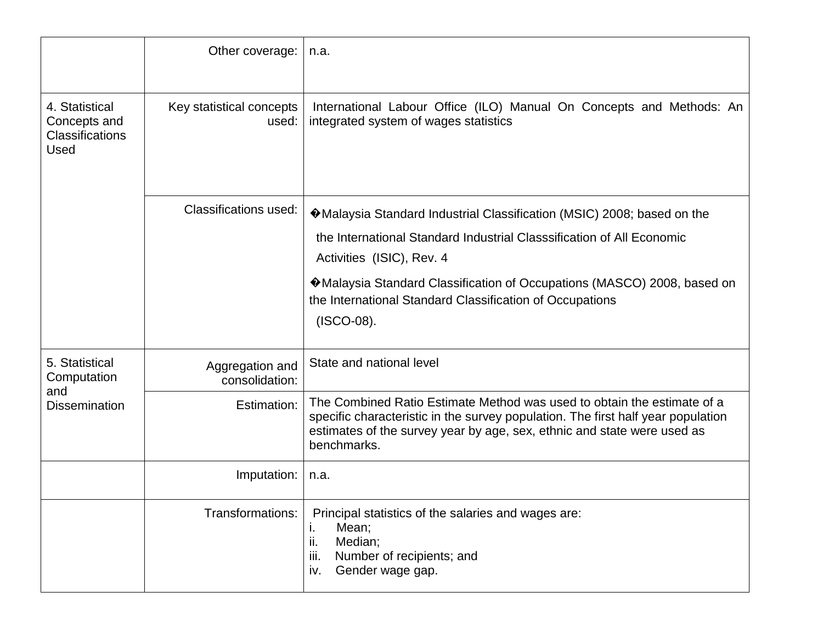|                                                                  | Other coverage:                   | n.a.                                                                                                                                                                                                                                                                                                                                   |
|------------------------------------------------------------------|-----------------------------------|----------------------------------------------------------------------------------------------------------------------------------------------------------------------------------------------------------------------------------------------------------------------------------------------------------------------------------------|
| 4. Statistical<br>Concepts and<br><b>Classifications</b><br>Used | Key statistical concepts<br>used: | International Labour Office (ILO) Manual On Concepts and Methods: An<br>integrated system of wages statistics                                                                                                                                                                                                                          |
|                                                                  | <b>Classifications used:</b>      | ♦ Malaysia Standard Industrial Classification (MSIC) 2008; based on the<br>the International Standard Industrial Classsification of All Economic<br>Activities (ISIC), Rev. 4<br>♦ Malaysia Standard Classification of Occupations (MASCO) 2008, based on<br>the International Standard Classification of Occupations<br>$(ISCO-08)$ . |
| 5. Statistical<br>Computation                                    | Aggregation and<br>consolidation: | State and national level                                                                                                                                                                                                                                                                                                               |
| and<br><b>Dissemination</b>                                      | Estimation:                       | The Combined Ratio Estimate Method was used to obtain the estimate of a<br>specific characteristic in the survey population. The first half year population<br>estimates of the survey year by age, sex, ethnic and state were used as<br>benchmarks.                                                                                  |
|                                                                  | Imputation:                       | n.a.                                                                                                                                                                                                                                                                                                                                   |
|                                                                  | Transformations:                  | Principal statistics of the salaries and wages are:<br>Mean;<br>ı.<br>ii.<br>Median;<br>iii.<br>Number of recipients; and<br>Gender wage gap.<br>iv.                                                                                                                                                                                   |